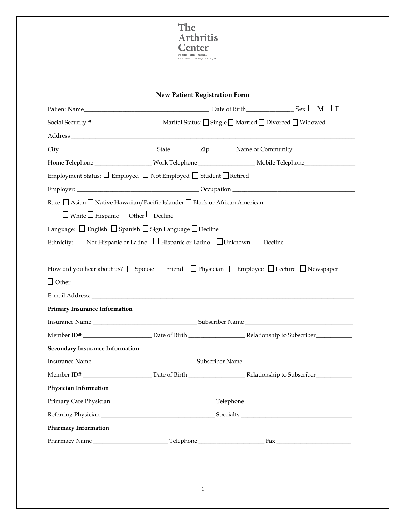

## **New Patient Registration Form**

| Patient Name $\_\_\_\_\_$ Sex $\_\_\_\_$ M $\_\_$ F                                                                                             |  |  |  |  |  |
|-------------------------------------------------------------------------------------------------------------------------------------------------|--|--|--|--|--|
|                                                                                                                                                 |  |  |  |  |  |
|                                                                                                                                                 |  |  |  |  |  |
|                                                                                                                                                 |  |  |  |  |  |
| Home Telephone ______________________Work Telephone __________________________Mobile Telephone________________                                  |  |  |  |  |  |
| Employment Status: □ Employed □ Not Employed □ Student □ Retired                                                                                |  |  |  |  |  |
|                                                                                                                                                 |  |  |  |  |  |
| Race: <u>□</u> Asian □ Native Hawaiian/Pacific Islander □ Black or African American<br>$\Box$ White $\Box$ Hispanic $\Box$ Other $\Box$ Decline |  |  |  |  |  |
| Language: □ English □ Spanish □ Sign Language □ Decline                                                                                         |  |  |  |  |  |
| Ethnicity: $\Box$ Not Hispanic or Latino $\Box$ Hispanic or Latino $\Box$ Unknown $\Box$ Decline                                                |  |  |  |  |  |
|                                                                                                                                                 |  |  |  |  |  |
| <b>Primary Insurance Information</b>                                                                                                            |  |  |  |  |  |
|                                                                                                                                                 |  |  |  |  |  |
|                                                                                                                                                 |  |  |  |  |  |
| <b>Secondary Insurance Information</b>                                                                                                          |  |  |  |  |  |
|                                                                                                                                                 |  |  |  |  |  |
|                                                                                                                                                 |  |  |  |  |  |
| Physician Information                                                                                                                           |  |  |  |  |  |
|                                                                                                                                                 |  |  |  |  |  |
|                                                                                                                                                 |  |  |  |  |  |
| <b>Pharmacy Information</b>                                                                                                                     |  |  |  |  |  |
|                                                                                                                                                 |  |  |  |  |  |